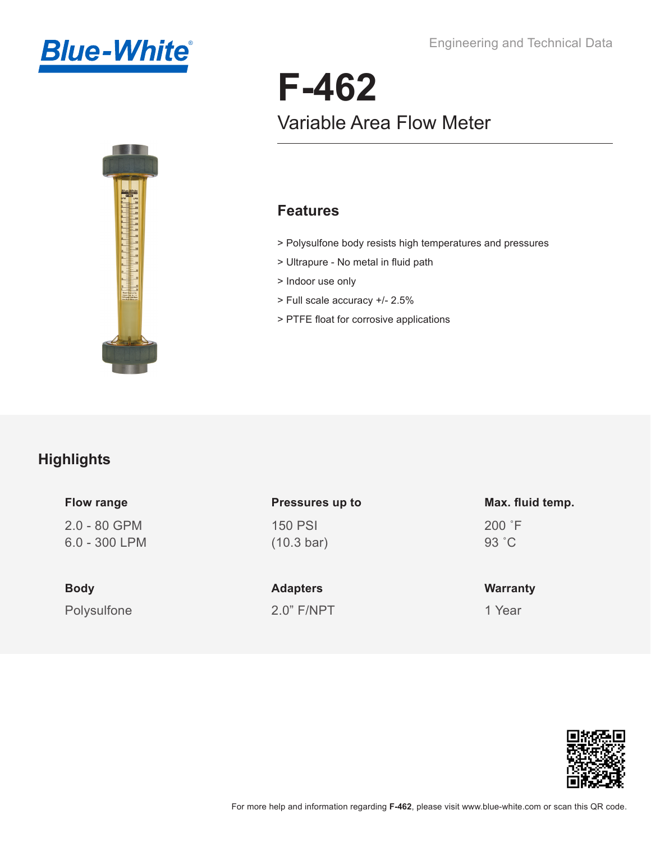



# **F-462** Variable Area Flow Meter

#### **Features**

- > Polysulfone body resists high temperatures and pressures
- > Ultrapure No metal in fluid path
- > Indoor use only
- > Full scale accuracy +/- 2.5%
- > PTFE float for corrosive applications

### **Highlights**

| <b>Flow range</b> |  |
|-------------------|--|
| $2.0 - 80$ GPM    |  |
| 6.0 - 300 LPM     |  |

Polysulfone **Body**

## 150 PSI (10.3 bar) **Pressures up to**

2.0" F/NPT **Adapters**

#### 200 ˚F 93 ˚C **Max. fluid temp.**

**Warranty**

1 Year

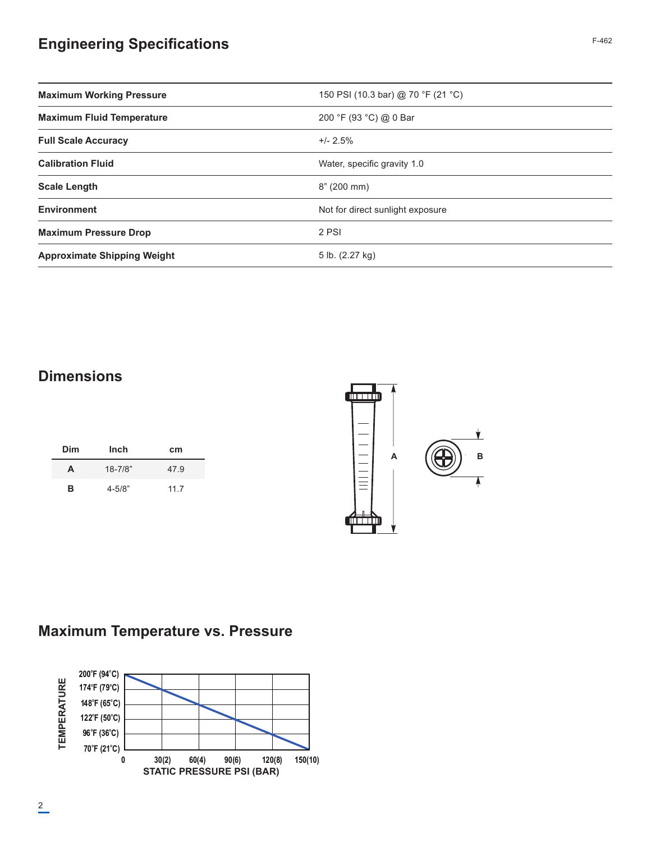## **Engineering Specifications** F-462

| <b>Maximum Working Pressure</b>    | 150 PSI (10.3 bar) @ 70 °F (21 °C) |
|------------------------------------|------------------------------------|
| <b>Maximum Fluid Temperature</b>   | 200 °F (93 °C) @ 0 Bar             |
| <b>Full Scale Accuracy</b>         | $+/- 2.5\%$                        |
| <b>Calibration Fluid</b>           | Water, specific gravity 1.0        |
| <b>Scale Length</b>                | 8" (200 mm)                        |
| <b>Environment</b>                 | Not for direct sunlight exposure   |
| <b>Maximum Pressure Drop</b>       | 2 PSI                              |
| <b>Approximate Shipping Weight</b> | 5 lb. (2.27 kg)                    |

#### **Dimensions**

| Dim | Inch        | cm   |
|-----|-------------|------|
| A   | $18 - 7/8"$ | 47.9 |
| в   | $4 - 5/8"$  | 11.7 |



## **Maximum Temperature vs. Pressure**

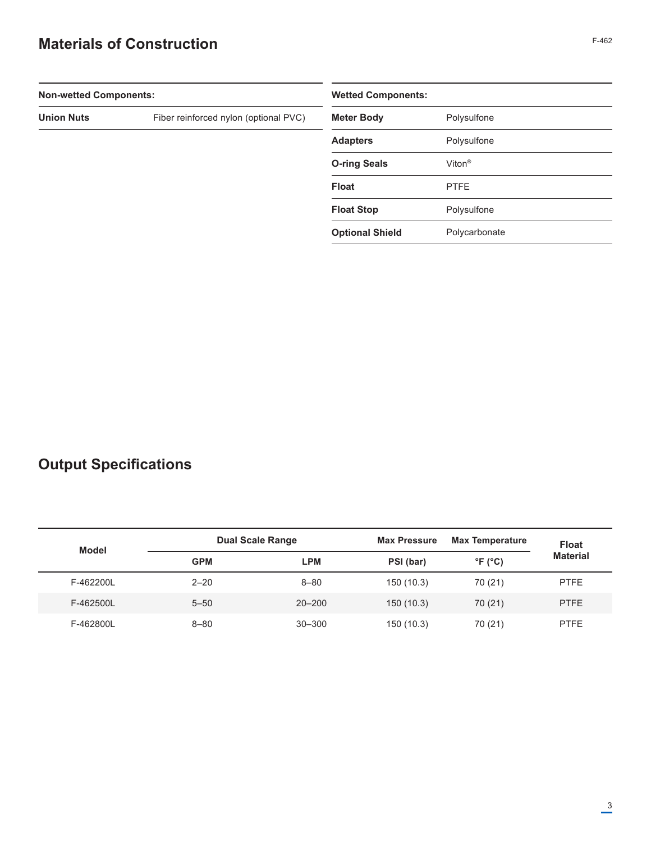## **Materials of Construction** F-462

| <b>Non-wetted Components:</b> |                                       | <b>Wetted Components:</b> |                    |  |
|-------------------------------|---------------------------------------|---------------------------|--------------------|--|
| <b>Union Nuts</b>             | Fiber reinforced nylon (optional PVC) | <b>Meter Body</b>         | Polysulfone        |  |
|                               |                                       | <b>Adapters</b>           | Polysulfone        |  |
|                               |                                       | <b>O-ring Seals</b>       | Viton <sup>®</sup> |  |
|                               |                                       | <b>Float</b>              | <b>PTFE</b>        |  |
|                               |                                       | <b>Float Stop</b>         | Polysulfone        |  |
|                               |                                       | <b>Optional Shield</b>    | Polycarbonate      |  |
|                               |                                       |                           |                    |  |

## **Output Specifications**

| <b>Model</b> |            | <b>Dual Scale Range</b> | <b>Max Pressure</b> | <b>Max Temperature</b>     | <b>Float</b>    |
|--------------|------------|-------------------------|---------------------|----------------------------|-----------------|
|              | <b>GPM</b> | <b>LPM</b>              | PSI (bar)           | $\degree$ F ( $\degree$ C) | <b>Material</b> |
| F-462200L    | $2 - 20$   | $8 - 80$                | 150 (10.3)          | 70 (21)                    | <b>PTFE</b>     |
| F-462500L    | $5 - 50$   | $20 - 200$              | 150(10.3)           | 70 (21)                    | <b>PTFE</b>     |
| F-462800L    | $8 - 80$   | $30 - 300$              | 150 (10.3)          | 70 (21)                    | <b>PTFE</b>     |